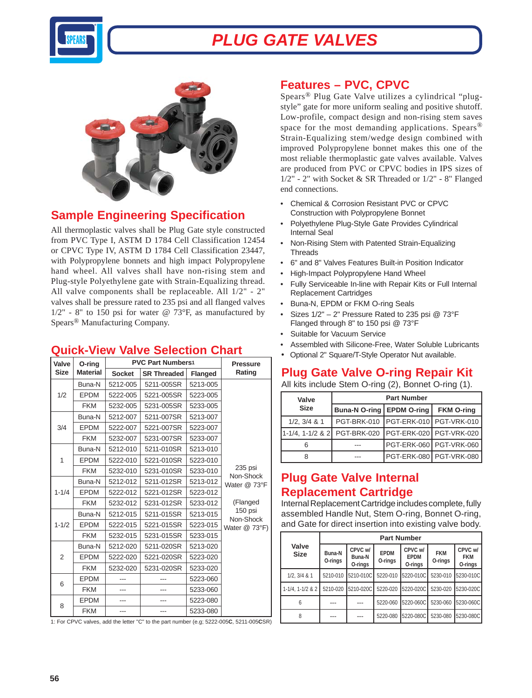

# *PLUG GATE VALVES*



### **Sample Engineering Specification**

All thermoplastic valves shall be Plug Gate style constructed from PVC Type I, ASTM D 1784 Cell Classification 12454 or CPVC Type IV, ASTM D 1784 Cell Classification 23447, with Polypropylene bonnets and high impact Polypropylene hand wheel. All valves shall have non-rising stem and Plug-style Polyethylene gate with Strain-Equalizing thread. All valve components shall be replaceable. All 1/2" - 2" valves shall be pressure rated to 235 psi and all flanged valves  $1/2$ " - 8" to 150 psi for water @ 73°F, as manufactured by Spears® Manufacturing Company.

#### **Quick-View Valve Selection Chart**

| Valve          | O-ring          | <b>PVC Part Numbers1</b> | <b>Pressure</b>        |                |                      |  |  |  |  |
|----------------|-----------------|--------------------------|------------------------|----------------|----------------------|--|--|--|--|
| <b>Size</b>    | <b>Material</b> | <b>Socket</b>            | <b>SR Threaded</b>     | <b>Flanged</b> | Rating               |  |  |  |  |
| 1/2            | Buna-N          | 5212-005                 | 5211-005SR             | 5213-005       |                      |  |  |  |  |
|                | <b>EPDM</b>     | 5222-005                 | 5221-005SR             | 5223-005       |                      |  |  |  |  |
|                | <b>FKM</b>      | 5232-005                 | 5231-005SR             | 5233-005       |                      |  |  |  |  |
| 3/4            | Buna-N          | 5212-007                 | 5211-007SR             | 5213-007       |                      |  |  |  |  |
|                | <b>EPDM</b>     | 5222-007                 | 5221-007SR             | 5223-007       |                      |  |  |  |  |
|                | <b>FKM</b>      | 5232-007                 | 5231-007SR             | 5233-007       |                      |  |  |  |  |
|                | Buna-N          | 5212-010                 | 5211-010SR             | 5213-010       |                      |  |  |  |  |
| $\mathbf{1}$   | <b>EPDM</b>     | 5222-010                 | 5221-010SR             | 5223-010       |                      |  |  |  |  |
|                | <b>FKM</b>      | 5232-010                 | 5231-010SR<br>5233-010 |                | 235 psi<br>Non-Shock |  |  |  |  |
|                | Buna-N          | 5212-012                 | 5211-012SR             | 5213-012       | Water @ 73°F         |  |  |  |  |
| $1 - 1/4$      | <b>EPDM</b>     | 5222-012                 | 5221-012SR             | 5223-012       |                      |  |  |  |  |
|                | <b>FKM</b>      | 5232-012                 | 5231-012SR             | 5233-012       | (Flanged             |  |  |  |  |
|                | Buna-N          | 5212-015                 | 5211-015SR<br>5213-015 |                | 150 psi<br>Non-Shock |  |  |  |  |
| $1 - 1/2$      | <b>EPDM</b>     | 5222-015                 | 5221-015SR             | 5223-015       | Water @ 73°F)        |  |  |  |  |
|                | <b>FKM</b>      | 5232-015                 | 5231-015SR             | 5233-015       |                      |  |  |  |  |
|                | Buna-N          | 5212-020                 | 5211-020SR             | 5213-020       |                      |  |  |  |  |
| $\overline{2}$ | <b>EPDM</b>     | 5222-020                 | 5221-020SR             | 5223-020       |                      |  |  |  |  |
|                | <b>FKM</b>      | 5232-020                 | 5231-020SR             | 5233-020       |                      |  |  |  |  |
| 6              | <b>EPDM</b>     |                          |                        | 5223-060       |                      |  |  |  |  |
|                | <b>FKM</b>      | ---                      | ---                    | 5233-060       |                      |  |  |  |  |
| 8              | <b>EPDM</b>     | ---                      | ---                    | 5223-080       |                      |  |  |  |  |
|                | <b>FKM</b>      | ---                      | ---                    | 5233-080       |                      |  |  |  |  |

1: For CPVC valves, add the letter "C" to the part number (e.g; 5222-005**C**, 5211-005**C**SR)

#### **Features – PVC, CPVC**

Spears® Plug Gate Valve utilizes a cylindrical "plugstyle" gate for more uniform sealing and positive shutoff. Low-profile, compact design and non-rising stem saves space for the most demanding applications. Spears<sup>®</sup> Strain-Equalizing stem/wedge design combined with improved Polypropylene bonnet makes this one of the most reliable thermoplastic gate valves available. Valves are produced from PVC or CPVC bodies in IPS sizes of  $1/2$ " - 2" with Socket & SR Threaded or  $1/2$ " - 8" Flanged end connections.

- Chemical & Corrosion Resistant PVC or CPVC Construction with Polypropylene Bonnet
- Polyethylene Plug-Style Gate Provides Cylindrical Internal Seal
- Non-Rising Stem with Patented Strain-Equalizing **Threads**
- 6" and 8" Valves Features Built-in Position Indicator
- High-Impact Polypropylene Hand Wheel
- Fully Serviceable In-line with Repair Kits or Full Internal Replacement Cartridges
- Buna-N, EPDM or FKM O-ring Seals
- Sizes 1/2" 2" Pressure Rated to 235 psi @ 73°F Flanged through 8" to 150 psi @ 73°F
- Suitable for Vacuum Service
- Assembled with Silicone-Free, Water Soluble Lubricants
- Optional 2" Square/T-Style Operator Nut available.

#### **Plug Gate Valve O-ring Repair Kit**

All kits include Stem O-ring (2), Bonnet O-ring (1).

| Valve                 | <b>Part Number</b>          |  |                           |  |  |  |  |  |  |
|-----------------------|-----------------------------|--|---------------------------|--|--|--|--|--|--|
| <b>Size</b>           | Buna-N O-ring   EPDM O-ring |  | <b>FKM O-ring</b>         |  |  |  |  |  |  |
| $1/2$ , $3/4$ & 1     | PGT-BRK-010                 |  | PGT-ERK-010 PGT-VRK-010   |  |  |  |  |  |  |
| $1 - 1/4$ , 1-1/2 & 2 | PGT-BRK-020                 |  | PGT-ERK-020 PGT-VRK-020   |  |  |  |  |  |  |
|                       |                             |  | PGT-ERK-060   PGT-VRK-060 |  |  |  |  |  |  |
|                       |                             |  | PGT-ERK-080 PGT-VRK-080   |  |  |  |  |  |  |

### **Plug Gate Valve Internal Replacement Cartridge**

Internal Replacement Cartridge includes complete, fully assembled Handle Nut, Stem O-ring, Bonnet O-ring, and Gate for direct insertion into existing valve body.

|                           |                   |                              |                        | <b>Part Number</b>                    |                       |                                  |  |  |  |  |
|---------------------------|-------------------|------------------------------|------------------------|---------------------------------------|-----------------------|----------------------------------|--|--|--|--|
| Valve<br><b>Size</b>      | Buna-N<br>O-rings | CPVC w/<br>Buna-N<br>O-rings | <b>EPDM</b><br>O-rings | CPVC w/<br><b>EPDM</b><br>O-rings     | <b>FKM</b><br>O-rings | CPVC w/<br><b>FKM</b><br>O-rings |  |  |  |  |
| $1/2, 3/4$ & $1$          |                   | 5210-010 5210-010C           |                        | 5220-010 5220-010C                    | 5230-010              | 5230-010C                        |  |  |  |  |
| $1 - 1/4$ , $1 - 1/2$ & 2 |                   | 5210-020 5210-020C           |                        | 5220-020 5220-020C 5230-020 5230-020C |                       |                                  |  |  |  |  |
| h                         | ---               | ---                          |                        | 5220-060 5220-060C                    | 5230-060              | 5230-060C                        |  |  |  |  |
|                           |                   |                              |                        | 5220-080 5220-080C                    |                       | 5230-080 5230-080C               |  |  |  |  |